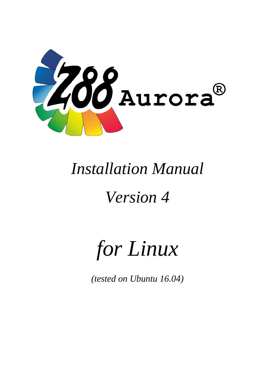

## *Installation Manual*

## *Version 4*

# *for Linux*

*(tested on Ubuntu 16.04)*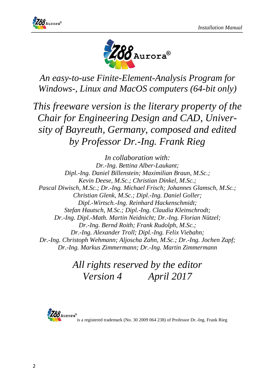



*An easy-to-use Finite-Element-Analysis Program for Windows-, Linux and MacOS computers (64-bit only)*

*This freeware version is the literary property of the Chair for Engineering Design and CAD, University of Bayreuth, Germany, composed and edited by Professor Dr.-Ing. Frank Rieg*

*In collaboration with: Dr.-Ing. Bettina Alber-Laukant; Dipl.-Ing. Daniel Billenstein; Maximilian Braun, M.Sc.; Kevin Deese, M.Sc.; Christian Dinkel, M.Sc.; Pascal Diwisch, M.Sc.; Dr.-Ing. Michael Frisch; Johannes Glamsch, M.Sc.; Christian Glenk, M.Sc.; Dipl.-Ing. Daniel Goller; Dipl.-Wirtsch.-Ing. Reinhard Hackenschmidt; Stefan Hautsch, M.Sc.; Dipl.-Ing. Claudia Kleinschrodt; Dr.-Ing. Dipl.-Math. Martin Neidnicht; Dr.-Ing. Florian Nützel; Dr.-Ing. Bernd Roith; Frank Rudolph, M.Sc.; Dr.-Ing. Alexander Troll; Dipl.-Ing. Felix Viebahn; Dr.-Ing. Christoph Wehmann; Aljoscha Zahn, M.Sc.; Dr.-Ing. Jochen Zapf; Dr.-Ing. Markus Zimmermann; Dr.-Ing. Martin Zimmermann*

> *All rights reserved by the editor Version 4 April 2017*

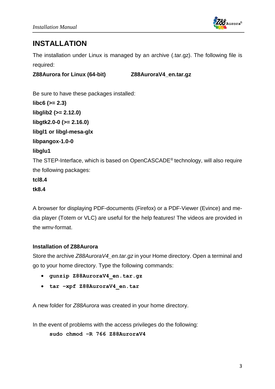

#### **INSTALLATION**

The installation under Linux is managed by an archive (.tar.gz). The following file is required:

**Z88Aurora for Linux (64-bit) Z88AuroraV4\_en.tar.gz**

Be sure to have these packages installed: **libc6 (>= 2.3) libglib2 (>= 2.12.0) libgtk2.0-0 (>= 2.16.0) libgl1 or libgl-mesa-glx libpangox-1.0-0 libglu1** The STEP-Interface, which is based on OpenCASCADE® technology, will also require the following packages: **tcl8.4**

#### **tk8.4**

A browser for displaying PDF-documents (Firefox) or a PDF-Viewer (Evince) and media player (Totem or VLC) are useful for the help features! The videos are provided in the wmv-format.

#### **Installation of Z88Aurora**

Store the archive *Z88AuroraV4\_en.tar.gz* in your Home directory. Open a terminal and go to your home directory. Type the following commands:

- **gunzip Z88AuroraV4\_en.tar.gz**
- **tar –xpf Z88AuroraV4\_en.tar**

A new folder for *Z88Aurora* was created in your home directory.

In the event of problems with the access privileges do the following:

**sudo chmod –R 766 Z88AuroraV4**